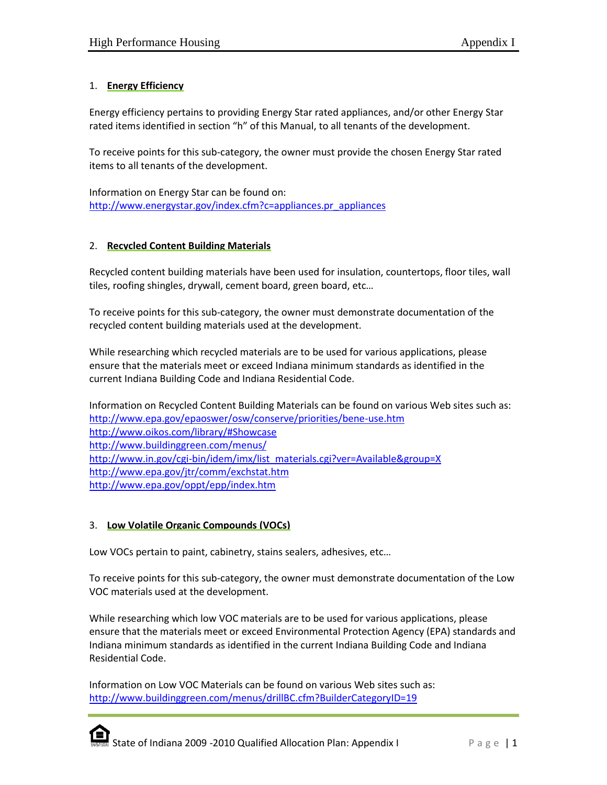# 1. **Energy Efficiency**

Energy efficiency pertains to providing Energy Star rated appliances, and/or other Energy Star rated items identified in section "h" of this Manual, to all tenants of the development.

To receive points for this sub-category, the owner must provide the chosen Energy Star rated items to all tenants of the development.

Information on Energy Star can be found on: [http://www.energystar.gov/index.cfm?c=appliances.pr\\_appliances](http://www.energystar.gov/index.cfm?c=appliances.pr_appliances)

### 2. **Recycled Content Building Materials**

Recycled content building materials have been used for insulation, countertops, floor tiles, wall tiles, roofing shingles, drywall, cement board, green board, etc…

To receive points for this sub-category, the owner must demonstrate documentation of the recycled content building materials used at the development.

While researching which recycled materials are to be used for various applications, please ensure that the materials meet or exceed Indiana minimum standards as identified in the current Indiana Building Code and Indiana Residential Code.

Information on Recycled Content Building Materials can be found on various Web sites such as: <http://www.epa.gov/epaoswer/osw/conserve/priorities/bene-use.htm> <http://www.oikos.com/library/#Showcase> <http://www.buildinggreen.com/menus/> [http://www.in.gov/cgi-bin/idem/imx/list\\_materials.cgi?ver=Available&group=X](http://www.in.gov/cgi-bin/idem/imx/list_materials.cgi?ver=Available&group=X) <http://www.epa.gov/jtr/comm/exchstat.htm> <http://www.epa.gov/oppt/epp/index.htm>

# 3. **Low Volatile Organic Compounds (VOCs)**

Low VOCs pertain to paint, cabinetry, stains sealers, adhesives, etc…

To receive points for this sub-category, the owner must demonstrate documentation of the Low VOC materials used at the development.

While researching which low VOC materials are to be used for various applications, please ensure that the materials meet or exceed Environmental Protection Agency (EPA) standards and Indiana minimum standards as identified in the current Indiana Building Code and Indiana Residential Code.

Information on Low VOC Materials can be found on various Web sites such as: <http://www.buildinggreen.com/menus/drillBC.cfm?BuilderCategoryID=19>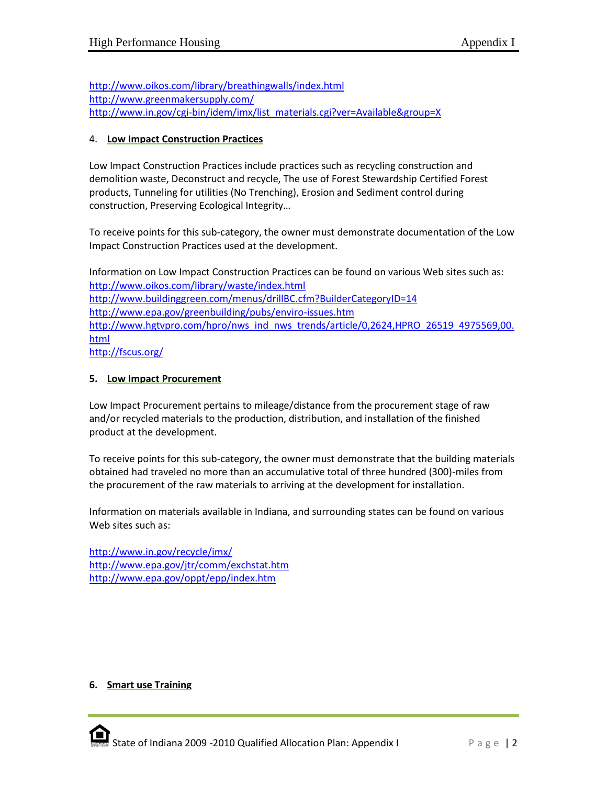<http://www.oikos.com/library/breathingwalls/index.html> <http://www.greenmakersupply.com/> [http://www.in.gov/cgi-bin/idem/imx/list\\_materials.cgi?ver=Available&group=X](http://www.in.gov/cgi-bin/idem/imx/list_materials.cgi?ver=Available&group=X)

### 4. **Low Impact Construction Practices**

Low Impact Construction Practices include practices such as recycling construction and demolition waste, Deconstruct and recycle, The use of Forest Stewardship Certified Forest products, Tunneling for utilities (No Trenching), Erosion and Sediment control during construction, Preserving Ecological Integrity…

To receive points for this sub-category, the owner must demonstrate documentation of the Low Impact Construction Practices used at the development.

Information on Low Impact Construction Practices can be found on various Web sites such as: <http://www.oikos.com/library/waste/index.html> <http://www.buildinggreen.com/menus/drillBC.cfm?BuilderCategoryID=14> <http://www.epa.gov/greenbuilding/pubs/enviro-issues.htm> [http://www.hgtvpro.com/hpro/nws\\_ind\\_nws\\_trends/article/0,2624,HPRO\\_26519\\_4975569,00.](http://www.hgtvpro.com/hpro/nws_ind_nws_trends/article/0,2624,HPRO_26519_4975569,00.html) [html](http://www.hgtvpro.com/hpro/nws_ind_nws_trends/article/0,2624,HPRO_26519_4975569,00.html) <http://fscus.org/>

### **5. Low Impact Procurement**

Low Impact Procurement pertains to mileage/distance from the procurement stage of raw and/or recycled materials to the production, distribution, and installation of the finished product at the development.

To receive points for this sub-category, the owner must demonstrate that the building materials obtained had traveled no more than an accumulative total of three hundred (300)-miles from the procurement of the raw materials to arriving at the development for installation.

Information on materials available in Indiana, and surrounding states can be found on various Web sites such as:

<http://www.in.gov/recycle/imx/> <http://www.epa.gov/jtr/comm/exchstat.htm> <http://www.epa.gov/oppt/epp/index.htm>

# **6. Smart use Training**